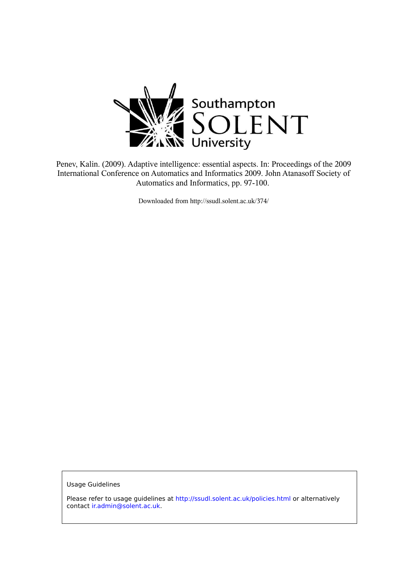

Penev, Kalin. (2009). Adaptive intelligence: essential aspects. In: Proceedings of the 2009 International Conference on Automatics and Informatics 2009. John Atanasoff Society of Automatics and Informatics, pp. 97-100.

Downloaded from http://ssudl.solent.ac.uk/374/

**Usage Guidelines** 

Please refer to usage guidelines at http://ssudl.solent.ac.uk/policies.html or alternatively contact ir.admin@solent.ac.uk.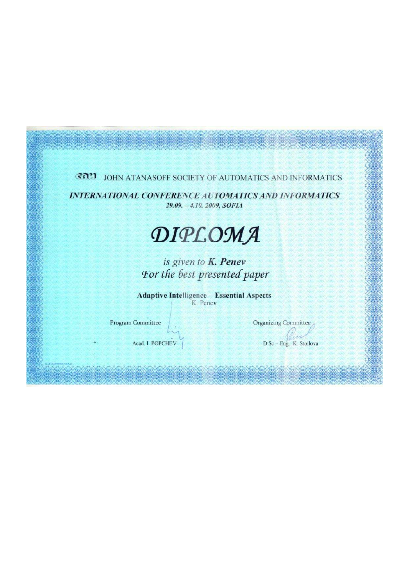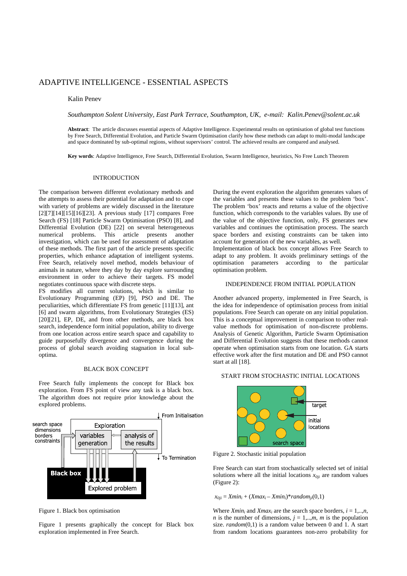# ADAPTIVE INTELLIGENCE - ESSENTIAL ASPECTS

# Kalin Penev

*Southampton Solent University, East Park Terrace, Southampton, UK, e-mail: Kalin.Penev@solent.ac.uk* 

**Abstract**: The article discusses essential aspects of Adaptive Intelligence. Experimental results on optimisation of global test functions by Free Search, Differential Evolution, and Particle Swarm Optimisation clarify how these methods can adapt to multi-modal landscape and space dominated by sub-optimal regions, without supervisors' control. The achieved results are compared and analysed.

**Key words**: Adaptive Intelligence, Free Search, Differential Evolution, Swarm Intelligence, heuristics, No Free Lunch Theorem

# INTRODUCTION

The comparison between different evolutionary methods and the attempts to assess their potential for adaptation and to cope with variety of problems are widely discussed in the literature  $[2][7][14][15][16][23]$ . A previous study [17] compares Free Search (FS) [18] Particle Swarm Optimisation (PSO) [8], and Differential Evolution (DE) [22] on several heterogeneous numerical problems. This article presents another investigation, which can be used for assessment of adaptation of these methods. The first part of the article presents specific properties, which enhance adaptation of intelligent systems. Free Search, relatively novel method, models behaviour of animals in nature, where they day by day explore surrounding environment in order to achieve their targets. FS model negotiates continuous space with discrete steps.

FS modifies all current solutions, which is similar to Evolutionary Programming (EP) [9], PSO and DE. The peculiarities, which differentiate FS from genetic [11][13], ant [6] and swarm algorithms, from Evolutionary Strategies (ES) [20][21], EP, DE, and from other methods, are black box search, independence form initial population, ability to diverge from one location across entire search space and capability to guide purposefully divergence and convergence during the process of global search avoiding stagnation in local suboptima.

# BLACK BOX CONCEPT

Free Search fully implements the concept for Black box exploration. From FS point of view any task is a black box. The algorithm does not require prior knowledge about the explored problems.



Figure 1. Black box optimisation

Figure 1 presents graphically the concept for Black box exploration implemented in Free Search.

During the event exploration the algorithm generates values of the variables and presents these values to the problem 'box'. The problem 'box' reacts and returns a value of the objective function, which corresponds to the variables values. By use of the value of the objective function, only, FS generates new variables and continues the optimisation process. The search space borders and existing constraints can be taken into account for generation of the new variables, as well.

Implementation of black box concept allows Free Search to adapt to any problem. It avoids preliminary settings of the optimisation parameters according to the particular optimisation problem.

# INDEPENDENCE FROM INITIAL POPULATION

Another advanced property, implemented in Free Search, is the idea for independence of optimisation process from initial populations. Free Search can operate on any initial population. This is a conceptual improvement in comparison to other realvalue methods for optimisation of non-discrete problems. Analysis of Genetic Algorithm, Particle Swarm Optimisation and Differential Evolution suggests that these methods cannot operate when optimisation starts from one location. GA starts effective work after the first mutation and DE and PSO cannot start at all [18].

#### START FROM STOCHASTIC INITIAL LOCATIONS



Figure 2. Stochastic initial population

Free Search can start from stochastically selected set of initial solutions where all the initial locations  $x_{0ji}$  are random values (Figure 2):

 $x_{0ji} = Xmin_i + (Xmax_i - Xmin_i)*random_{ji}(0,1)$ 

Where  $Xmin_i$  and  $Xmax_i$  are the search space borders,  $i = 1, \ldots, n$ , *n* is the number of dimensions,  $j = 1,...,m$ , *m* is the population size. *random*(0,1) is a random value between 0 and 1. A start from random locations guarantees non-zero probability for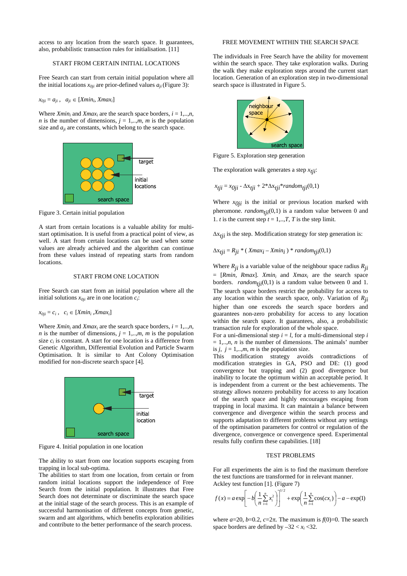access to any location from the search space. It guarantees, also, probabilistic transaction rules for initialisation. [11]

# START FROM CERTAIN INITIAL LOCATIONS

Free Search can start from certain initial population where all the initial locations  $x_{0ji}$  are prior-defined values  $a_{ji}$  (Figure 3):

 $x_{0ji} = a_{ji}$ ,  $a_{ji} \in [Xmin_i, Xmax_i]$ 

Where  $Xmin_i$  and  $Xmax_i$  are the search space borders,  $i = 1,...,n$ , *n* is the number of dimensions,  $j = 1,...,m$ , *m* is the population size and  $a_{ji}$  are constants, which belong to the search space.



Figure 3. Certain initial population

A start from certain locations is a valuable ability for multistart optimisation. It is useful from a practical point of view, as well. A start from certain locations can be used when some values are already achieved and the algorithm can continue from these values instead of repeating starts from random locations.

#### START FROM ONE LOCATION

Free Search can start from an initial population where all the initial solutions  $x_{0ji}$  are in one location  $c_i$ :

 $x_{0ji} = c_i$ ,  $c_i \in [Xmin_i, Xmax_i]$ 

Where  $Xmin_i$  and  $Xmax_i$  are the search space borders,  $i = 1,...,n$ , *n* is the number of dimensions,  $j = 1, \ldots, m$ , *m* is the population size  $c_i$  is constant. A start for one location is a difference from Genetic Algorithm, Differential Evolution and Particle Swarm Optimisation. It is similar to Ant Colony Optimisation modified for non-discrete search space [4].



Figure 4. Initial population in one location

The ability to start from one location supports escaping from trapping in local sub-optima.

The abilities to start from one location, from certain or from random initial locations support the independence of Free Search from the initial population. It illustrates that Free Search does not determinate or discriminate the search space at the initial stage of the search process. This is an example of successful harmonisation of different concepts from genetic, swarm and ant algorithms, which benefits exploration abilities and contribute to the better performance of the search process.

# FREE MOVEMENT WITHIN THE SEARCH SPACE

The individuals in Free Search have the ability for movement within the search space. They take exploration walks. During the walk they make exploration steps around the current start location. Generation of an exploration step in two-dimensional search space is illustrated in Figure 5.



Figure 5. Exploration step generation

The exploration walk generates a step  $x_{tii}$ :

$$
x_{tji} = x_{0ji} - \Delta x_{tji} + 2 \Delta x_{tji} * random_{tji}(0,1)
$$

Where  $x_{0ji}$  is the initial or previous location marked with pheromone.  $random_{tji}(0,1)$  is a random value between 0 and 1. *t* is the current step  $t = 1, \ldots, T$ , *T* is the step limit.

Δx*tji* is the step. Modification strategy for step generation is:

 $\Delta x_{tji} = R_{ji} * (Xmax_i - Xmin_i) * random_{tji}(0,1)$ 

Where  $R_{ii}$  is a variable value of the neighbour space radius  $R_{ii}$ = [*Rmin, Rmax*]. *Xmin<sup>i</sup>* and *Xmax<sup>i</sup>* are the search space borders. *random<sub>tii</sub>*(0,1) is a random value between 0 and 1. The search space borders restrict the probability for access to any location within the search space, only. Variation of *Rji*  higher than one exceeds the search space borders and guarantees non-zero probability for access to any location within the search space. It guarantees, also, a probabilistic transaction rule for exploration of the whole space.

For a uni-dimensional step  $i = l$ , for a multi-dimensional step  $i$  $= 1, \ldots, n$ , *n* is the number of dimensions. The animals' number is  $j, j = 1,...,m, m$  is the population size.

This modification strategy avoids contradictions of modification strategies in GA, PSO and DE: (1) good convergence but trapping and (2) good divergence but inability to locate the optimum within an acceptable period. It is independent from a current or the best achievements. The strategy allows nonzero probability for access to any location of the search space and highly encourages escaping from trapping in local maxima. It can maintain a balance between convergence and divergence within the search process and supports adaptation to different problems without any settings of the optimisation parameters for control or regulation of the divergence, convergence or convergence speed. Experimental results fully confirm these capabilities. [18]

# TEST PROBLEMS

For all experiments the aim is to find the maximum therefore the test functions are transformed for in relevant manner. Ackley test function [1]. (Figure 7)

$$
f(x) = a \exp \left[ -b \left( \frac{1}{n} \sum_{i=1}^{n} x_i^2 \right) \right]^{1/2} + \exp \left( \frac{1}{n} \sum_{i=1}^{n} \cos(cx_i) \right) - a - \exp(1)
$$

where  $a=20$ ,  $b=0.2$ ,  $c=2\pi$ . The maximum is  $f(0)=0$ . The search space borders are defined by  $-32 < x_i < 32$ .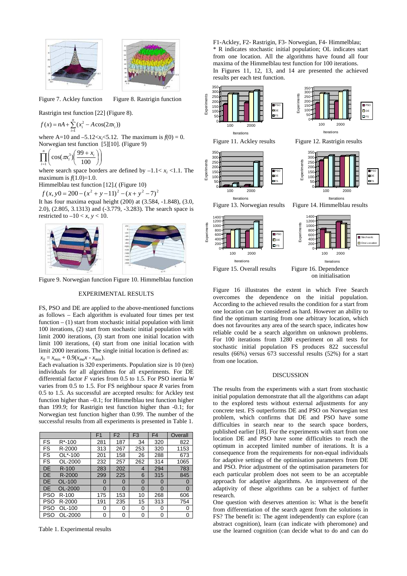



Figure 7. Ackley function Figure 8. Rastrigin function

Rastrigin test function [22] (Figure 8).

$$
f(x) = nA + \sum_{i=1}^{n} (x_i^2 - A\cos(2\pi x_i))
$$

where A=10 and  $-5.12 < x_i < 5.12$ . The maximum is  $f(0) = 0$ . Norwegian test function [5][10]. (Figure 9)

$$
\prod_{i=1}^{n} \left( \cos(\pi x_i^3) \left( \frac{99 + x_i}{100} \right) \right)
$$

where search space borders are defined by  $-1.1 < x_i < 1.1$ . The maximum is  $f(1.0)=1.0$ .

Himmelblau test function [12].( (Figure 10)

 $f(x, y0 = 200 - (x^2 + y - 11)^2 - (x + y^2 - 7)^2$ 

It has four maxima equal height (200) at (3.584, -1.848), (3.0, 2.0), (2.805, 3.1313) and (-3.779, -3.283). The search space is restricted to  $-10 < x, y < 10$ .



Figure 9. Norwegian function Figure 10. Himmelblau function

#### EXPERIMENTAL RESULTS

FS, PSO and DE are applied to the above-mentioned functions as follows – Each algorithm is evaluated four times per test function  $- (1)$  start from stochastic initial population with limit 100 iterations, (2) start from stochastic initial population with limit 2000 iterations, (3) start from one initial location with limit 100 iterations, (4) start from one initial location with limit 2000 iterations. The single initial location is defined as:

 $x_0 = x_{min} + 0.9(x_{max} - x_{min}).$ 

Each evaluation is 320 experiments. Population size is 10 (ten) individuals for all algorithms for all experiments. For DE differential factor *F* varies from 0.5 to 1.5. For PSO inertia *W* varies from 0.5 to 1.5. For FS neighbour space *R* varies from 0.5 to 1.5. As successful are accepted results: for Ackley test function higher than –0.1; for Himmelblau test function higher than 199.9; for Rastrigin test function higher than -0.1; for Norwegian test function higher than 0.99. The number of the successful results from all experiments is presented in Table 1.

|            |           | F <sub>1</sub> | F <sub>2</sub> | F <sub>3</sub> | F <sub>4</sub> | Overall     |
|------------|-----------|----------------|----------------|----------------|----------------|-------------|
| <b>FS</b>  | $R*-100$  | 281            | 187            | 34             | 320            | 822         |
| FS         | R-2000    | 313            | 267            | 253            | 320            | 1153        |
| FS         | OL*-100   | 201            | 158            | 26             | 288            | 673         |
| FS         | OL-2000   | 232            | 257            | 262            | 314            | 1065        |
| DE         | $R-100$   | 283            | 202            | 4              | 294            | 783         |
| DE         | R-2000    | 299            | 225            | 6              | 315            | 845         |
| DE         | OL-100    | 0              | 0              | 0              | 0              | 0           |
| DE         | OL-2000   | $\Omega$       | 0              | $\Omega$       | $\Omega$       | $\mathbf 0$ |
| <b>PSO</b> | $R - 100$ | 175            | 153            | 10             | 268            | 606         |
| <b>PSO</b> | R-2000    | 191            | 235            | 15             | 313            | 754         |
| <b>PSO</b> | OL-100    | 0              | 0              | 0              | 0              | 0           |
| PSO        | OL-2000   | 0              | ი              | 0              | 0              | 0           |

Table 1. Experimental results

F1-Ackley, F2- Rastrigin, F3- Norwegian, F4- Himmelblau; \* R indicates stochastic initial population; OL indicates start from one location. All the algorithms have found all four maxima of the Himmelblau test function for 100 iterations. In Figures 11, 12, 13, and 14 are presented the achieved results per each test function.



on initialisation

Figure 16 illustrates the extent in which Free Search overcomes the dependence on the initial population. According to the achieved results the condition for a start from one location can be considered as hard. However an ability to find the optimum starting from one arbitrary location, which does not favourites any area of the search space, indicates how reliable could be a search algorithm on unknown problems. For 100 iterations from 1280 experiment on all tests for stochastic initial population FS produces 822 successful results (66%) versus 673 successful results (52%) for a start from one location.

#### **DISCUSSION**

The results from the experiments with a start from stochastic initial population demonstrate that all the algorithms can adapt to the explored tests without external adjustments for any concrete test. FS outperforms DE and PSO on Norwegian test problem, which confirms that DE and PSO have some difficulties in search near to the search space borders, published earlier [18]. For the experiments with start from one location DE and PSO have some difficulties to reach the optimum in accepted limited number of iterations. It is a consequence from the requirements for non-equal individuals for adaptive settings of the optimisation parameters from DE and PSO. Prior adjustment of the optimisation parameters for each particular problem does not seem to be an acceptable approach for adaptive algorithms. An improvement of the adaptivity of these algorithms can be a subject of further research.

One question with deserves attention is: What is the benefit from differentiation of the search agent from the solutions in FS? The benefit is: The agent independently can explore (can abstract cognition), learn (can indicate with pheromone) and use the learned cognition (can decide what to do and can do